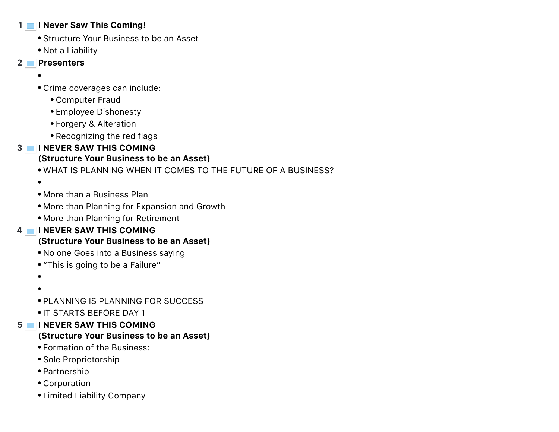#### **1 I Never Saw This Coming!**

- Structure Your Business to be an Asset
- Not a Liability
- **2 Presenters**
	-
	- Crime coverages can include:
		- Computer Fraud
		- Employee Dishonesty
		- Forgery & Alteration
		- Recognizing the red flags

# **3 I NEVER SAW THIS COMING**

## **(Structure Your Business to be an Asset)**

- WHAT IS PLANNING WHEN IT COMES TO THE FUTURE OF A BUSINESS?
- $\bullet$
- More than a Business Plan
- More than Planning for Expansion and Growth
- More than Planning for Retirement

# **4 I NEVER SAW THIS COMING**

### **(Structure Your Business to be an Asset)**

- No one Goes into a Business saying
- "This is going to be a Failure"
- $\bullet$
- 
- PLANNING IS PLANNING FOR SUCCESS
- **IT STARTS BEFORE DAY 1**

### **5 I NEVER SAW THIS COMING**

## **(Structure Your Business to be an Asset)**

- Formation of the Business:
- Sole Proprietorship
- Partnership
- Corporation
- Limited Liability Company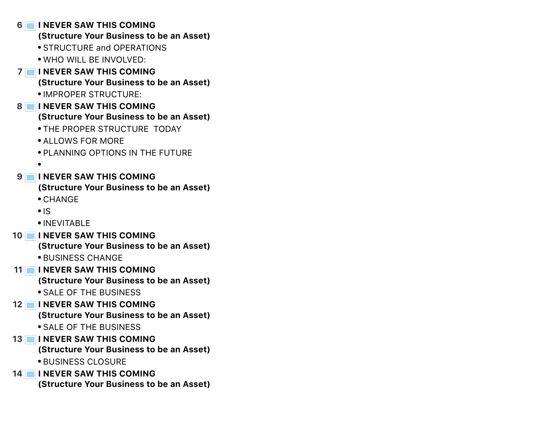**6 I NEVER SAW THIS COMING (Structure Your Business to be an Asset) • STRUCTURE and OPERATIONS** WHO WILL BE INVOLVED: **7 I NEVER SAW THIS COMING (Structure Your Business to be an Asset)** IMPROPER STRUCTURE: **8 I NEVER SAW THIS COMING (Structure Your Business to be an Asset)** THE PROPER STRUCTURE TODAY ALLOWS FOR MORE PLANNING OPTIONS IN THE FUTURE  $\bullet$ **9 I NEVER SAW THIS COMING (Structure Your Business to be an Asset)** CHANGE  $\cdot$ IS INEVITABLE **10 I NEVER SAW THIS COMING (Structure Your Business to be an Asset) • BUSINESS CHANGE 11 I NEVER SAW THIS COMING (Structure Your Business to be an Asset)** SALE OF THE BUSINESS **12 I NEVER SAW THIS COMING (Structure Your Business to be an Asset)** SALE OF THE BUSINESS **13 I NEVER SAW THIS COMING (Structure Your Business to be an Asset) • BUSINESS CLOSURE 14 I NEVER SAW THIS COMING (Structure Your Business to be an Asset)**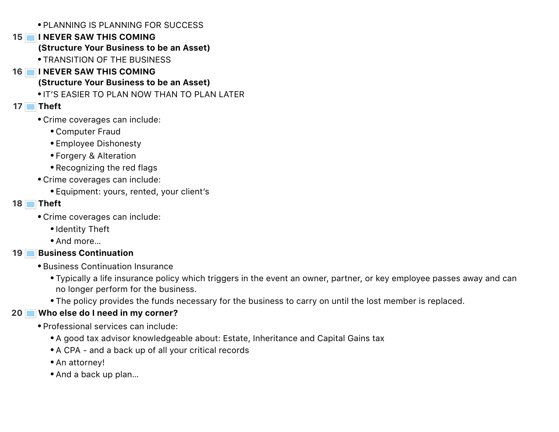PLANNING IS PLANNING FOR SUCCESS

### **15 I NEVER SAW THIS COMING**

### **(Structure Your Business to be an Asset)**

- TRANSITION OF THE BUSINESS
- **16 I NEVER SAW THIS COMING (Structure Your Business to be an Asset)**
	- **. IT'S EASIER TO PLAN NOW THAN TO PLAN LATER**

## **17 Theft**

- Crime coverages can include:
	- Computer Fraud
	- Employee Dishonesty
	- Forgery & Alteration
	- Recognizing the red flags
- Crime coverages can include:
	- Equipment: yours, rented, your client's

## **18 Theft**

- Crime coverages can include:
	- Identity Theft
	- And more…

### **19 Business Continuation**

- Business Continuation Insurance
	- Typically a life insurance policy which triggers in the event an owner, partner, or key employee passes away and can no longer perform for the business.
	- The policy provides the funds necessary for the business to carry on until the lost member is replaced.

## **20 Who else do I need in my corner?**

- Professional services can include:
	- A good tax advisor knowledgeable about: Estate, Inheritance and Capital Gains tax
	- A CPA and a back up of all your critical records
	- An attorney!
	- And a back up plan…